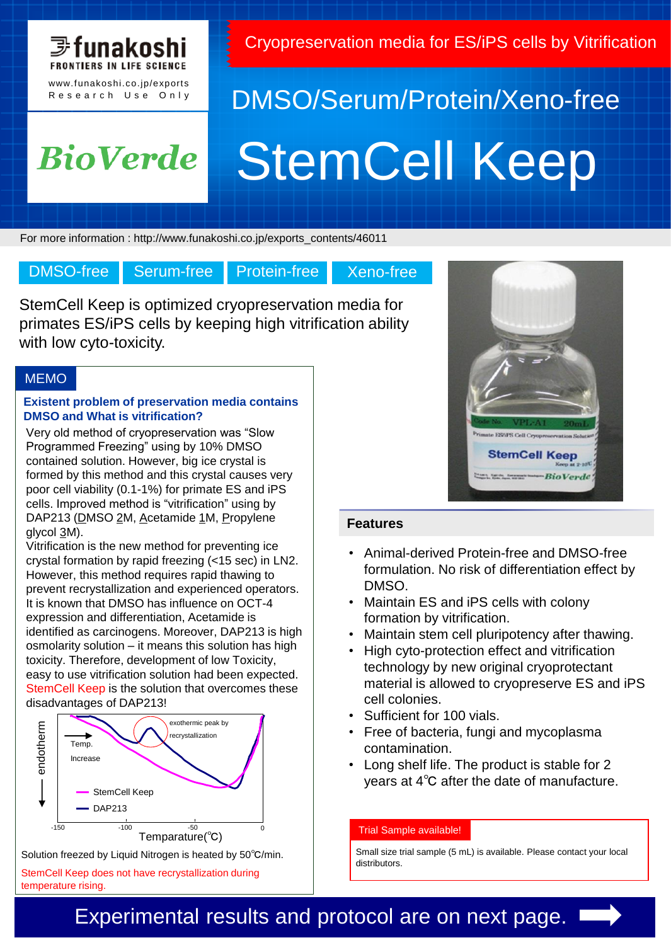

Cryopreservation media for ES/iPS cells by Vitrification

## **BioVerde**

# DMSO/Serum/Protein/Xeno-free StemCell Keep

For more information : http://www.funakoshi.co.jp/exports\_contents/46011

DMSO-free Serum-free Protein-free Xeno-free

StemCell Keep is optimized cryopreservation media for primates ES/iPS cells by keeping high vitrification ability with low cyto-toxicity.

#### **MEMO**

#### **Existent problem of preservation media contains DMSO and What is vitrification?**

Very old method of cryopreservation was "Slow Programmed Freezing" using by 10% DMSO contained solution. However, big ice crystal is formed by this method and this crystal causes very poor cell viability (0.1-1%) for primate ES and iPS cells. Improved method is "vitrification" using by DAP213 (DMSO 2M, Acetamide 1M, Propylene glycol 3M).

Vitrification is the new method for preventing ice crystal formation by rapid freezing (<15 sec) in LN2. However, this method requires rapid thawing to prevent recrystallization and experienced operators. It is known that DMSO has influence on OCT-4 expression and differentiation, Acetamide is identified as carcinogens. Moreover, DAP213 is high osmolarity solution – it means this solution has high toxicity. Therefore, development of low Toxicity, easy to use vitrification solution had been expected. StemCell Keep is the solution that overcomes these disadvantages of DAP213!



Solution freezed by Liquid Nitrogen is heated by 50℃/min.

StemCell Keep does not have recrystallization during temperature rising.



#### **Features**

- Animal-derived Protein-free and DMSO-free formulation. No risk of differentiation effect by DMSO.
- Maintain ES and iPS cells with colony formation by vitrification.
- Maintain stem cell pluripotency after thawing.
- High cyto-protection effect and vitrification technology by new original cryoprotectant material is allowed to cryopreserve ES and iPS cell colonies.
- Sufficient for 100 vials.
- Free of bacteria, fungi and mycoplasma contamination.
- Long shelf life. The product is stable for 2 years at 4℃ after the date of manufacture.

#### Trial Sample available!

Small size trial sample (5 mL) is available. Please contact your local distributors.

## Experimental results and protocol are on next page.